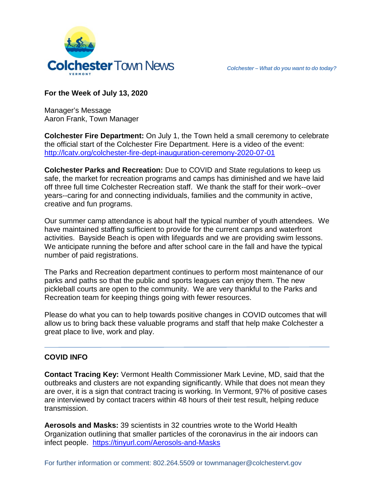

# **For the Week of July 13, 2020**

Manager's Message Aaron Frank, Town Manager

**Colchester Fire Department:** On July 1, the Town held a small ceremony to celebrate the official start of the Colchester Fire Department. Here is a video of the event: <http://lcatv.org/colchester-fire-dept-inauguration-ceremony-2020-07-01>

**Colchester Parks and Recreation:** Due to COVID and State regulations to keep us safe, the market for recreation programs and camps has diminished and we have laid off three full time Colchester Recreation staff. We thank the staff for their work--over years--caring for and connecting individuals, families and the community in active, creative and fun programs.

Our summer camp attendance is about half the typical number of youth attendees. We have maintained staffing sufficient to provide for the current camps and waterfront activities. Bayside Beach is open with lifeguards and we are providing swim lessons. We anticipate running the before and after school care in the fall and have the typical number of paid registrations.

The Parks and Recreation department continues to perform most maintenance of our parks and paths so that the public and sports leagues can enjoy them. The new pickleball courts are open to the community. We are very thankful to the Parks and Recreation team for keeping things going with fewer resources.

Please do what you can to help towards positive changes in COVID outcomes that will allow us to bring back these valuable programs and staff that help make Colchester a great place to live, work and play.

# **COVID INFO**

**Contact Tracing Key:** Vermont Health Commissioner Mark Levine, MD, said that the outbreaks and clusters are not expanding significantly. While that does not mean they are over, it is a sign that contract tracing is working. In Vermont, 97% of positive cases are interviewed by contact tracers within 48 hours of their test result, helping reduce transmission.

**Aerosols and Masks:** 39 scientists in 32 countries wrote to the World Health Organization outlining that smaller particles of the coronavirus in the air indoors can infect people. <https://tinyurl.com/Aerosols-and-Masks>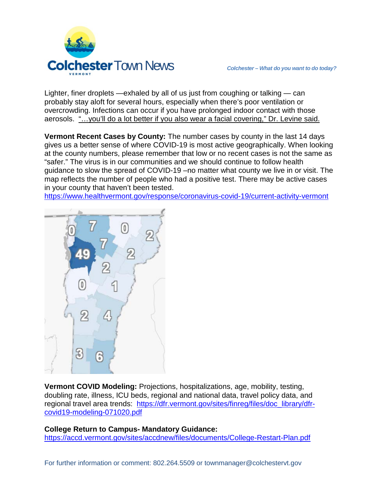

Lighter, finer droplets —exhaled by all of us just from coughing or talking — can probably stay aloft for several hours, especially when there's poor ventilation or overcrowding. Infections can occur if you have prolonged indoor contact with those aerosols. "…you'll do a lot better if you also wear a facial covering," Dr. Levine said.

**Vermont Recent Cases by County:** The number cases by county in the last 14 days gives us a better sense of where COVID-19 is most active geographically. When looking at the county numbers, please remember that low or no recent cases is not the same as "safer." The virus is in our communities and we should continue to follow health guidance to slow the spread of COVID-19 –no matter what county we live in or visit. The map reflects the number of people who had a positive test. There may be active cases in your county that haven't been tested.

<https://www.healthvermont.gov/response/coronavirus-covid-19/current-activity-vermont>



**Vermont COVID Modeling:** Projections, hospitalizations, age, mobility, testing, doubling rate, illness, ICU beds, regional and national data, travel policy data, and regional travel area trends: [https://dfr.vermont.gov/sites/finreg/files/doc\\_library/dfr](https://dfr.vermont.gov/sites/finreg/files/doc_library/dfr-covid19-modeling-071020.pdf)[covid19-modeling-071020.pdf](https://dfr.vermont.gov/sites/finreg/files/doc_library/dfr-covid19-modeling-071020.pdf)

#### **College Return to Campus- Mandatory Guidance:**

<https://accd.vermont.gov/sites/accdnew/files/documents/College-Restart-Plan.pdf>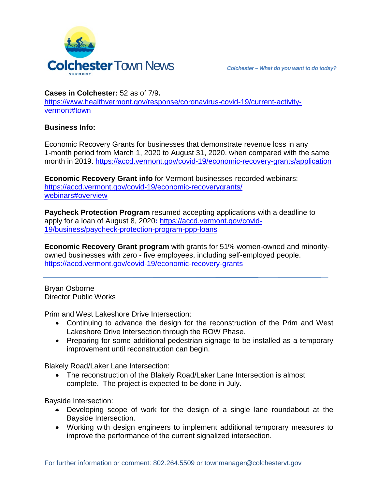

**Cases in Colchester:** 52 as of 7/9**.**

[https://www.healthvermont.gov/response/coronavirus-covid-19/current-activity](https://www.healthvermont.gov/response/coronavirus-covid-19/current-activity-vermont#town)[vermont#town](https://www.healthvermont.gov/response/coronavirus-covid-19/current-activity-vermont#town)

### **Business Info:**

Economic Recovery Grants for businesses that demonstrate revenue loss in any 1-month period from March 1, 2020 to August 31, 2020, when compared with the same month in 2019. <https://accd.vermont.gov/covid-19/economic-recovery-grants/application>

**Economic Recovery Grant info** for Vermont businesses-recorded webinars: https://accd.vermont.gov/covid-19/economic-recoverygrants/ webinars#overview

**Paycheck Protection Program** resumed accepting applications with a deadline to apply for a loan of August 8, 2020**:** https://accd.vermont.gov/covid-19/business/paycheck-protection-program-ppp-loans

**Economic Recovery Grant program** with grants for 51% women-owned and minorityowned businesses with zero - five employees, including self-employed people. https://accd.vermont.gov/covid-19/economic-recovery-grants

Bryan Osborne Director Public Works

Prim and West Lakeshore Drive Intersection:

- Continuing to advance the design for the reconstruction of the Prim and West Lakeshore Drive Intersection through the ROW Phase.
- Preparing for some additional pedestrian signage to be installed as a temporary improvement until reconstruction can begin.

Blakely Road/Laker Lane Intersection:

• The reconstruction of the Blakely Road/Laker Lane Intersection is almost complete. The project is expected to be done in July.

Bayside Intersection:

- Developing scope of work for the design of a single lane roundabout at the Bayside Intersection.
- Working with design engineers to implement additional temporary measures to improve the performance of the current signalized intersection.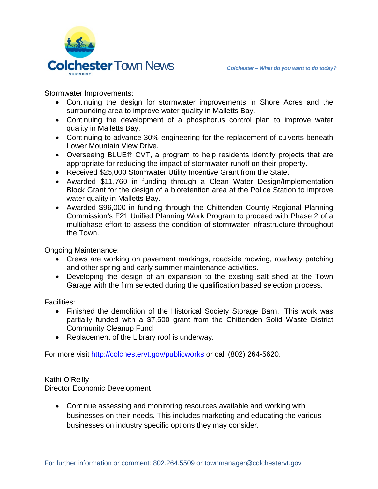

Stormwater Improvements:

- Continuing the design for stormwater improvements in Shore Acres and the surrounding area to improve water quality in Malletts Bay.
- Continuing the development of a phosphorus control plan to improve water quality in Malletts Bay.
- Continuing to advance 30% engineering for the replacement of culverts beneath Lower Mountain View Drive.
- Overseeing BLUE® CVT, a program to help residents identify projects that are appropriate for reducing the impact of stormwater runoff on their property.
- Received \$25,000 Stormwater Utility Incentive Grant from the State.
- Awarded \$11,760 in funding through a Clean Water Design/Implementation Block Grant for the design of a bioretention area at the Police Station to improve water quality in Malletts Bay.
- Awarded \$96,000 in funding through the Chittenden County Regional Planning Commission's F21 Unified Planning Work Program to proceed with Phase 2 of a multiphase effort to assess the condition of stormwater infrastructure throughout the Town.

Ongoing Maintenance:

- Crews are working on pavement markings, roadside mowing, roadway patching and other spring and early summer maintenance activities.
- Developing the design of an expansion to the existing salt shed at the Town Garage with the firm selected during the qualification based selection process.

Facilities:

- Finished the demolition of the Historical Society Storage Barn. This work was partially funded with a \$7,500 grant from the Chittenden Solid Waste District Community Cleanup Fund
- Replacement of the Library roof is underway.

For more visit<http://colchestervt.gov/publicworks> or call (802) 264-5620.

# Kathi O'Reilly

Director Economic Development

• Continue assessing and monitoring resources available and working with businesses on their needs. This includes marketing and educating the various businesses on industry specific options they may consider.